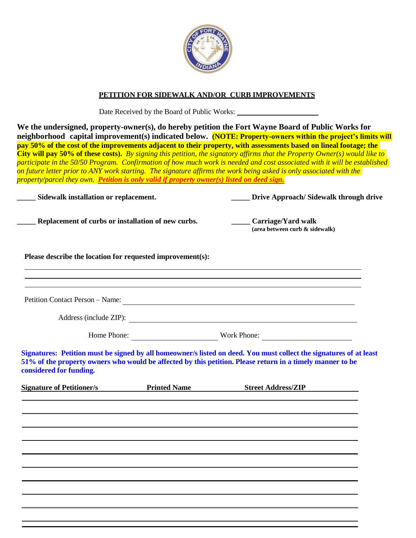

## **PETITION FOR SIDEWALK AND/OR CURB IMPROVEMENTS**

Date Received by the Board of Public Works:

**We the undersigned, property-owner(s), do hereby petition the Fort Wayne Board of Public Works for neighborhood capital improvement(s) indicated below. (NOTE: Property-owners within the project's limits will pay 50% of the cost of the improvements adjacent to their property, with assessments based on lineal footage; the City will pay 50% of these costs).** *By signing this petition, the signatory affirms that the Property Owner(s) would like to participate in the 50/50 Program. Confirmation of how much work is needed and cost associated with it will be established on future letter prior to ANY work starting. The signature affirms the work being asked is only associated with the property/parcel they own. Petition is only valid if property owner(s) listed on deed sign.*

| Sidewalk installation or replacement.                      |  | Drive Approach/Sidewalk through drive                                                                                                                                                                                           |
|------------------------------------------------------------|--|---------------------------------------------------------------------------------------------------------------------------------------------------------------------------------------------------------------------------------|
| Replacement of curbs or installation of new curbs.         |  | Carriage/Yard walk<br>(area between curb $\&$ sidewalk)                                                                                                                                                                         |
| Please describe the location for requested improvement(s): |  |                                                                                                                                                                                                                                 |
|                                                            |  | Petition Contact Person - Name:                                                                                                                                                                                                 |
|                                                            |  | Address (include ZIP):<br>Home Phone: Work Phone: Work Phone:                                                                                                                                                                   |
| considered for funding.                                    |  | Signatures: Petition must be signed by all homeowner/s listed on deed. You must collect the signatures of at least<br>51% of the property owners who would be affected by this petition. Please return in a timely manner to be |
|                                                            |  | Signature of Petitioner/s <b>Example 2 Street Address</b> Printed Name <b>Street Address</b> ZIP                                                                                                                                |
|                                                            |  |                                                                                                                                                                                                                                 |
|                                                            |  |                                                                                                                                                                                                                                 |
|                                                            |  |                                                                                                                                                                                                                                 |
|                                                            |  |                                                                                                                                                                                                                                 |
|                                                            |  |                                                                                                                                                                                                                                 |